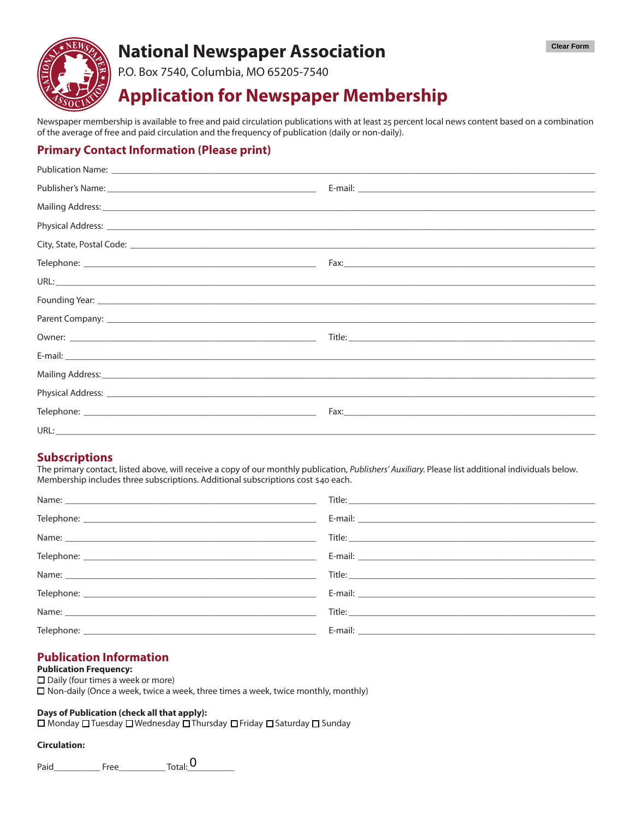

## **National Newspaper Association**

P.O. Box 7540, Columbia, MO 65205-7540

# **Application for Newspaper Membership**

Newspaper membership is available to free and paid circulation publications with at least 25 percent local news content based on a combination of the average of free and paid circulation and the frequency of publication (daily or non-daily).

## **Primary Contact Information (Please print)**

| Physical Address: 1988 and 2008 and 2008 and 2008 and 2008 and 2008 and 2008 and 2008 and 2008 and 2008 and 20 |  |
|----------------------------------------------------------------------------------------------------------------|--|
|                                                                                                                |  |
|                                                                                                                |  |
|                                                                                                                |  |
|                                                                                                                |  |
|                                                                                                                |  |
|                                                                                                                |  |
|                                                                                                                |  |
|                                                                                                                |  |
|                                                                                                                |  |
|                                                                                                                |  |
|                                                                                                                |  |

### **Subscriptions**

The primary contact, listed above, will receive a copy of our monthly publication, Publishers' Auxiliary. Please list additional individuals below. Membership includes three subscriptions. Additional subscriptions cost \$40 each.

## **Publication Information**

#### **Publication Frequency:**

 $\Box$  Daily (four times a week or more)  $\Box$  Non-daily (Once a week, twice a week, three times a week, twice monthly, monthly)

#### Days of Publication (check all that apply):

□ Monday □ Tuesday □ Wednesday □ Thursday □ Friday □ Saturday □ Sunday

#### **Circulation:**

Paid